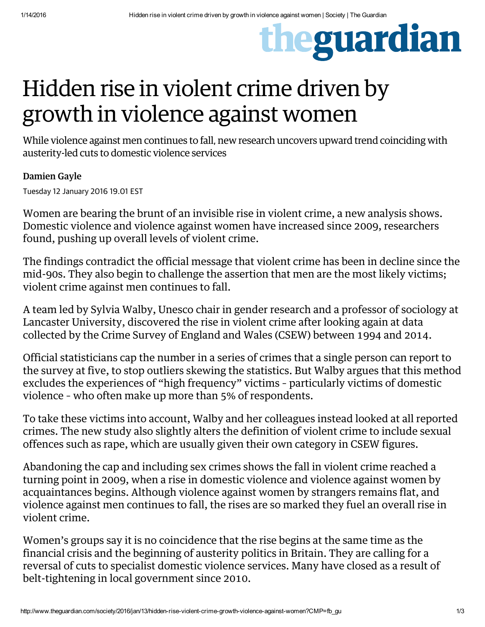## theguardian

## Hidden rise in violent crime driven by growth in violence against women

While violence against men continues to fall, new research uncovers upward trend coinciding with austerity-led cuts to domestic violence services

## [Damien](http://www.theguardian.com/profile/damien-gayle) Gayle

Tuesday 12 January 2016 19.01 EST

Women are bearing the brunt of an invisible rise in violent crime, a new analysis shows. [Domestic](http://www.theguardian.com/society/domestic-violence) violence and violence against women have increased since 2009, researchers found, pushing up overall levels of violent crime.

The findings contradict the official message that violent [crime](http://www.theguardian.com/uk/ukcrime) has been in decline since the mid-90s. They also begin to challenge the assertion that men are the most likely victims; violent crime against men continues to fall.

A team led by Sylvia Walby, Unesco chair in gender research and a professor of sociology at Lancaster University, discovered the rise in violent crime after looking again at data collected by the Crime Survey of [England](http://www.theguardian.com/uk-news/2015/oct/15/rate-in-england-and-wales-soars-as-cybercrime-included-for-first-time) and Wales [\(CSEW\)](http://www.ons.gov.uk/ons/guide-method/method-quality/specific/crime-statistics-methodology/guide-to-finding-crime-statistics/crime-survey-for-england-and-wales--csew-/index.html) between 1994 and 2014.

Official statisticians cap the number in a series of crimes that a single person can report to the survey at five, to stop outliers skewing the statistics. But Walby argues that this method excludes the [experiences](http://www.theguardian.com/society/2015/jun/09/violent-against-women-massively-understated-statistics-agency-told) of "high frequency" victims – particularly victims of domestic violence – who often make up more than 5% of respondents.

To take these victims into account, Walby and her colleagues instead looked at all reported crimes. The new [study](http://bjc.oxfordjournals.org/content/early/2015/12/31/bjc.azv131.full.pdf+html) also slightly alters the definition of violent crime to include sexual offences such as [rape,](http://www.theguardian.com/society/rape) which are usually given their own category in CSEW figures.

Abandoning the cap and including sex crimes shows the fall in violent crime reached a turning point in 2009, when a rise in domestic violence and violence against women by acquaintances begins. Although violence against women by strangers remains flat, and violence against men continues to fall, the rises are so marked they fuel an overall rise in violent crime.

Women's groups say it is no coincidence that the rise begins at the same time as the [financial](http://www.theguardian.com/business/financial-crisis) crisis and the beginning of [austerity](http://www.theguardian.com/business/austerity) politics in Britain. They are calling for a reversal of cuts to specialist domestic violence services. Many have [closed](http://www.theguardian.com/society/2014/aug/03/domestic-violence-refuge-crisis-women-closure-safe-houses) as a result of belt-tightening in local government since 2010.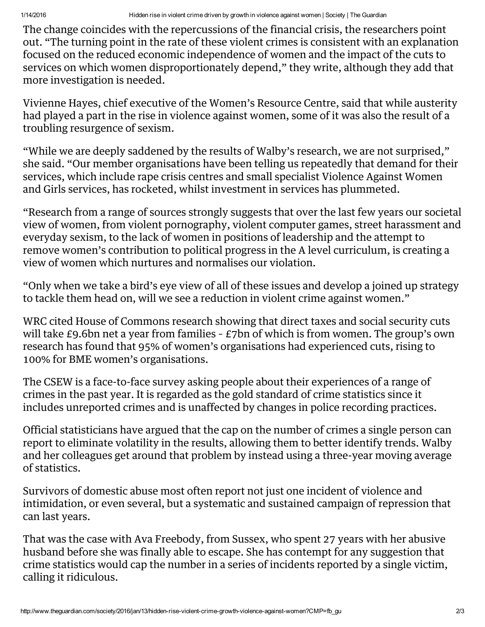The change coincides with the repercussions of the financial crisis, the researchers point out. "The turning point in the rate of these violent crimes is consistent with an explanation focused on the reduced economic independence of women and the impact of the cuts to services on which women [disproportionately](http://www.theguardian.com/society/2013/sep/21/spending-cuts-women-report) depend," they write, although they add that more investigation is needed.

Vivienne Hayes, chief executive of the Women's Resource Centre, said that while austerity had played a part in the rise in violence against women, some of it was also the result of a troubling resurgence of sexism.

"While we are deeply saddened by the results of Walby's research, we are not surprised," she said. "Our member organisations have been telling us repeatedly that demand for their services, which include rape crisis centres and small specialist Violence Against [Women](http://www.theguardian.com/lifeandstyle/women) and Girls services, has rocketed, whilst investment in services has plummeted.

"Research from a range of sources strongly suggests that over the last few years our societal view of women, from violent pornography, violent computer games, street harassment and everyday sexism, to the lack of women in positions of leadership and the attempt to remove women's contribution to political progress in the A level curriculum, is creating a view of women which nurtures and normalises our violation.

"Only when we take a bird's eye view of all of these issues and develop a joined up strategy to tackle them head on, will we see a reduction in violent crime against women."

WRC cited House of Commons research showing that direct taxes and social security cuts will take £9.6bn net a year from families – £7bn of which is from women. The group's own research has found that 95% of women's organisations had experienced cuts, rising to 100% for BME women's organisations.

The CSEW is a face-to-face survey asking people about their experiences of a range of crimes in the past year. It is regarded as the gold standard of crime statistics since it includes unreported crimes and is unaffected by changes in police recording practices.

Official statisticians have argued that the cap on the number of crimes a single person can report to eliminate volatility in the results, allowing them to better identify trends. Walby and her colleagues get around that problem by instead using a three-year moving average of statistics.

Survivors of domestic abuse most often report not just one incident of violence and intimidation, or even several, but a systematic and sustained campaign of repression that can last years.

That was the case with Ava Freebody, from Sussex, who spent 27 years with her abusive husband before she was finally able to escape. She has contempt for any suggestion that crime statistics would cap the number in a series of incidents reported by a single victim, calling it ridiculous.